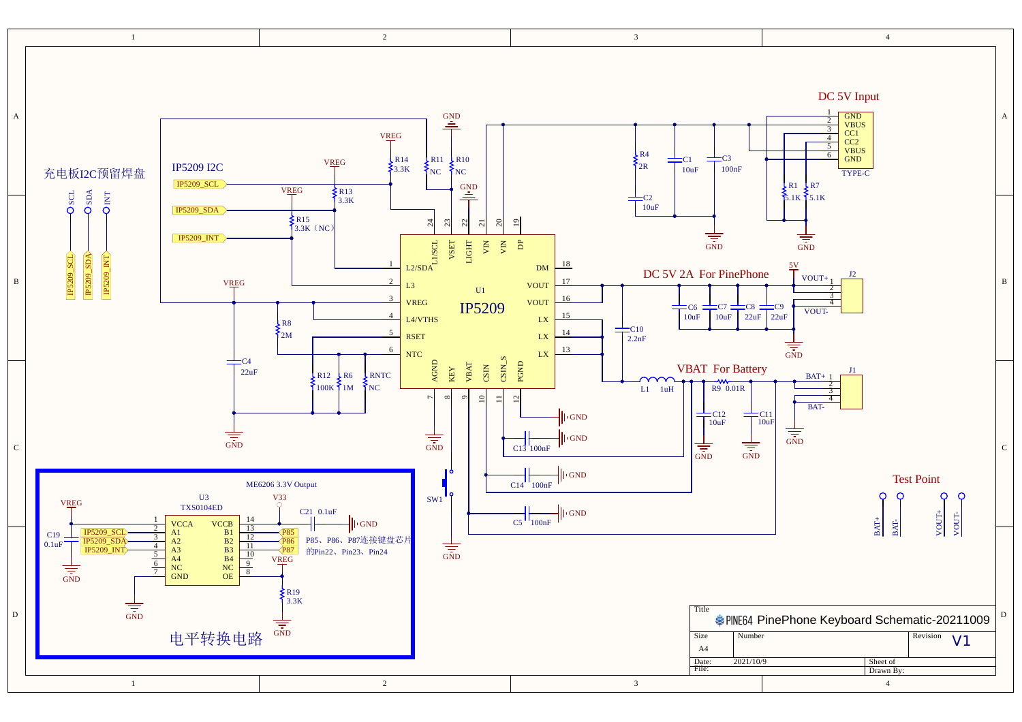